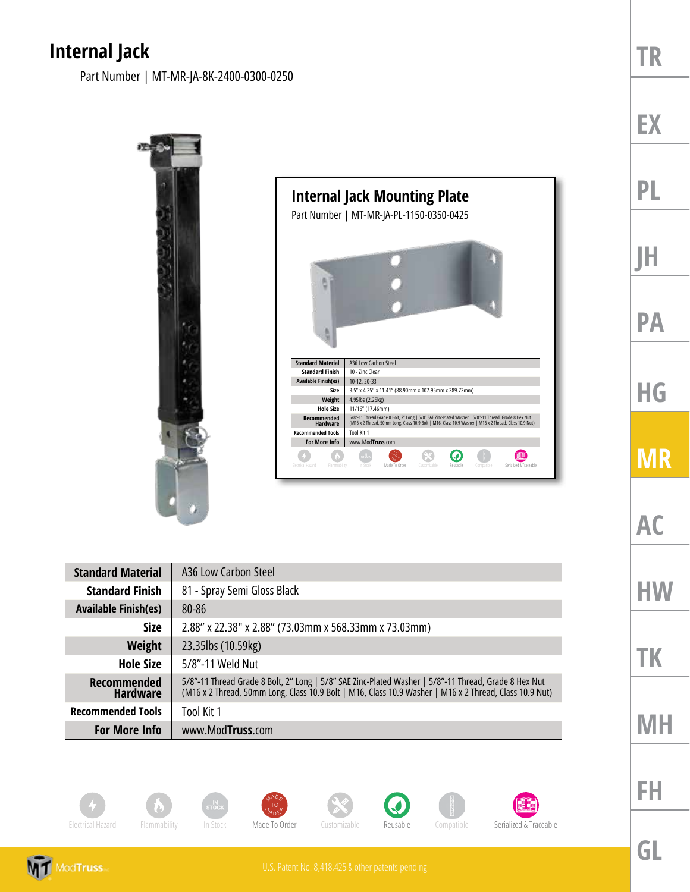## **Internal Jack**

Part Number | MT-MR-JA-8K-2400-0300-0250



| <b>Standard Material</b>              | A36 Low Carbon Steel                                                                                                                                                                                           |
|---------------------------------------|----------------------------------------------------------------------------------------------------------------------------------------------------------------------------------------------------------------|
| <b>Standard Finish</b>                | 81 - Spray Semi Gloss Black                                                                                                                                                                                    |
| <b>Available Finish(es)</b>           | 80-86                                                                                                                                                                                                          |
| <b>Size</b>                           | 2.88" x 22.38" x 2.88" (73.03mm x 568.33mm x 73.03mm)                                                                                                                                                          |
| <b>Weight</b>                         | 23.35lbs (10.59kg)                                                                                                                                                                                             |
| <b>Hole Size</b>                      | 5/8"-11 Weld Nut                                                                                                                                                                                               |
| <b>Recommended</b><br><b>Hardware</b> | 5/8"-11 Thread Grade 8 Bolt, 2" Long   5/8" SAE Zinc-Plated Washer   5/8"-11 Thread, Grade 8 Hex Nut<br>(M16 x 2 Thread, 50mm Long, Class 10.9 Bolt   M16, Class 10.9 Washer   M16 x 2 Thread, Class 10.9 Nut) |
| <b>Recommended Tools</b>              | Tool Kit 1                                                                                                                                                                                                     |
| <b>For More Info</b>                  | www.ModTruss.com                                                                                                                                                                                               |



















**EX**

**PL**

**JH**

**PA**

**HG**

**MR**

**AC**

**HW**

**TK**

**MH**

**MT** ModTruss

**GL**

**FH**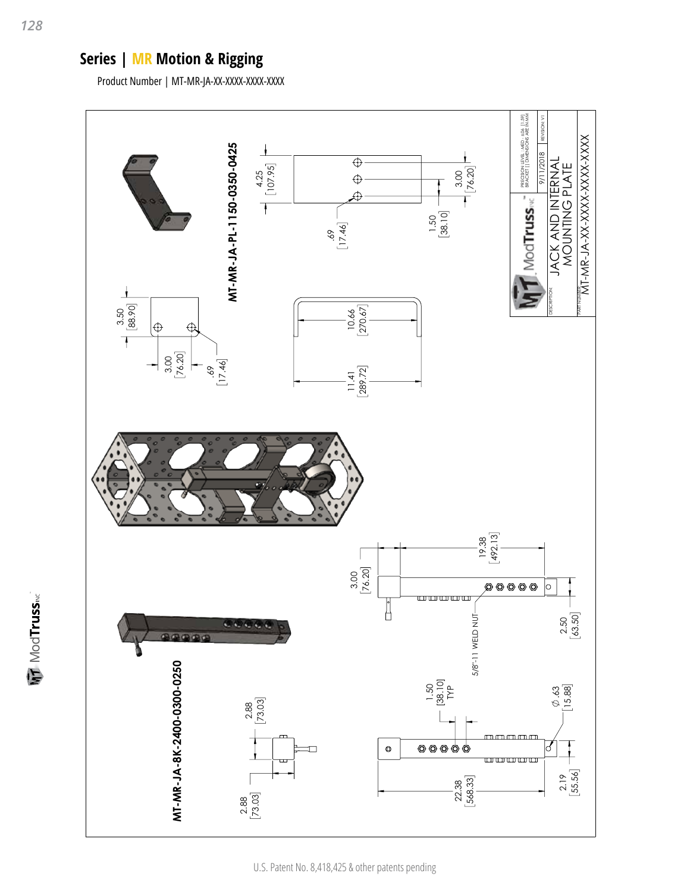## **Series | MR Motion & Rigging**

Product Number | MT-MR-JA-XX-XXXX-XXXX-XXXX



**MT** ModTruss<sub>MC</sub>